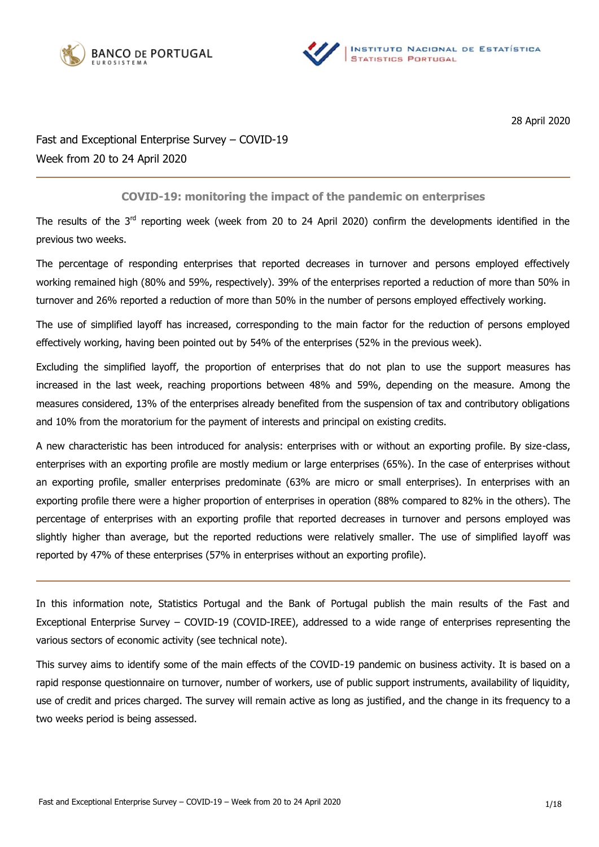



28 April 2020

Fast and Exceptional Enterprise Survey – COVID-19 Week from 20 to 24 April 2020

## **COVID-19: monitoring the impact of the pandemic on enterprises**

The results of the 3<sup>rd</sup> reporting week (week from 20 to 24 April 2020) confirm the developments identified in the previous two weeks.

The percentage of responding enterprises that reported decreases in turnover and persons employed effectively working remained high (80% and 59%, respectively). 39% of the enterprises reported a reduction of more than 50% in turnover and 26% reported a reduction of more than 50% in the number of persons employed effectively working.

The use of simplified layoff has increased, corresponding to the main factor for the reduction of persons employed effectively working, having been pointed out by 54% of the enterprises (52% in the previous week).

Excluding the simplified layoff, the proportion of enterprises that do not plan to use the support measures has increased in the last week, reaching proportions between 48% and 59%, depending on the measure. Among the measures considered, 13% of the enterprises already benefited from the suspension of tax and contributory obligations and 10% from the moratorium for the payment of interests and principal on existing credits.

A new characteristic has been introduced for analysis: enterprises with or without an exporting profile. By size-class, enterprises with an exporting profile are mostly medium or large enterprises (65%). In the case of enterprises without an exporting profile, smaller enterprises predominate (63% are micro or small enterprises). In enterprises with an exporting profile there were a higher proportion of enterprises in operation (88% compared to 82% in the others). The percentage of enterprises with an exporting profile that reported decreases in turnover and persons employed was slightly higher than average, but the reported reductions were relatively smaller. The use of simplified layoff was reported by 47% of these enterprises (57% in enterprises without an exporting profile).

In this information note, Statistics Portugal and the Bank of Portugal publish the main results of the Fast and Exceptional Enterprise Survey – COVID-19 (COVID-IREE), addressed to a wide range of enterprises representing the various sectors of economic activity (see technical note).

This survey aims to identify some of the main effects of the COVID-19 pandemic on business activity. It is based on a rapid response questionnaire on turnover, number of workers, use of public support instruments, availability of liquidity, use of credit and prices charged. The survey will remain active as long as justified, and the change in its frequency to a two weeks period is being assessed.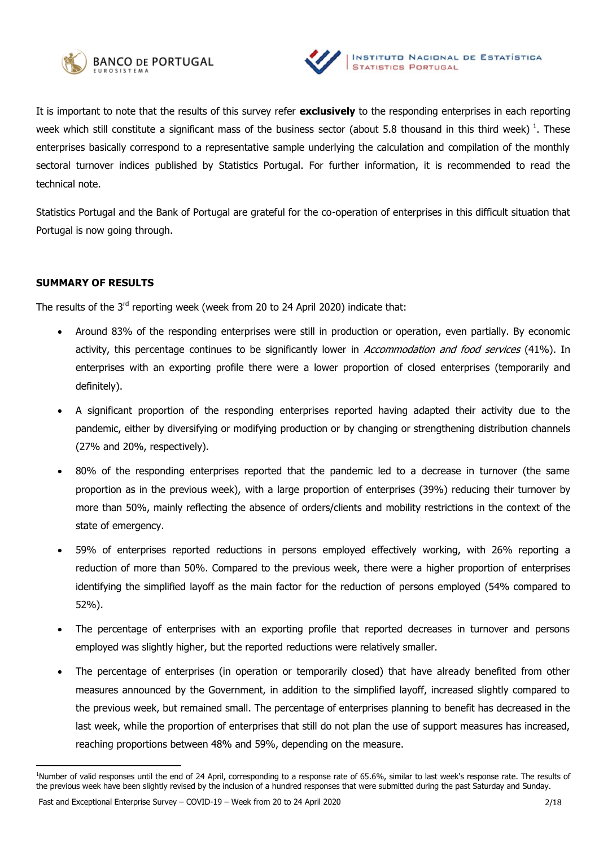



It is important to note that the results of this survey refer **exclusively** to the responding enterprises in each reporting week which still constitute a significant mass of the business sector (about 5.8 thousand in this third week)  $^{1}$ . These enterprises basically correspond to a representative sample underlying the calculation and compilation of the monthly sectoral turnover indices published by Statistics Portugal. For further information, it is recommended to read the technical note.

Statistics Portugal and the Bank of Portugal are grateful for the co-operation of enterprises in this difficult situation that Portugal is now going through.

## **SUMMARY OF RESULTS**

The results of the 3<sup>rd</sup> reporting week (week from 20 to 24 April 2020) indicate that:

- Around 83% of the responding enterprises were still in production or operation, even partially. By economic activity, this percentage continues to be significantly lower in Accommodation and food services (41%). In enterprises with an exporting profile there were a lower proportion of closed enterprises (temporarily and definitely).
- A significant proportion of the responding enterprises reported having adapted their activity due to the pandemic, either by diversifying or modifying production or by changing or strengthening distribution channels (27% and 20%, respectively).
- 80% of the responding enterprises reported that the pandemic led to a decrease in turnover (the same proportion as in the previous week), with a large proportion of enterprises (39%) reducing their turnover by more than 50%, mainly reflecting the absence of orders/clients and mobility restrictions in the context of the state of emergency.
- 59% of enterprises reported reductions in persons employed effectively working, with 26% reporting a reduction of more than 50%. Compared to the previous week, there were a higher proportion of enterprises identifying the simplified layoff as the main factor for the reduction of persons employed (54% compared to 52%).
- The percentage of enterprises with an exporting profile that reported decreases in turnover and persons employed was slightly higher, but the reported reductions were relatively smaller.
- The percentage of enterprises (in operation or temporarily closed) that have already benefited from other measures announced by the Government, in addition to the simplified layoff, increased slightly compared to the previous week, but remained small. The percentage of enterprises planning to benefit has decreased in the last week, while the proportion of enterprises that still do not plan the use of support measures has increased, reaching proportions between 48% and 59%, depending on the measure.

<sup>&</sup>lt;sup>1</sup>Number of valid responses until the end of 24 April, corresponding to a response rate of 65.6%, similar to last week's response rate. The results of the previous week have been slightly revised by the inclusion of a hundred responses that were submitted during the past Saturday and Sunday.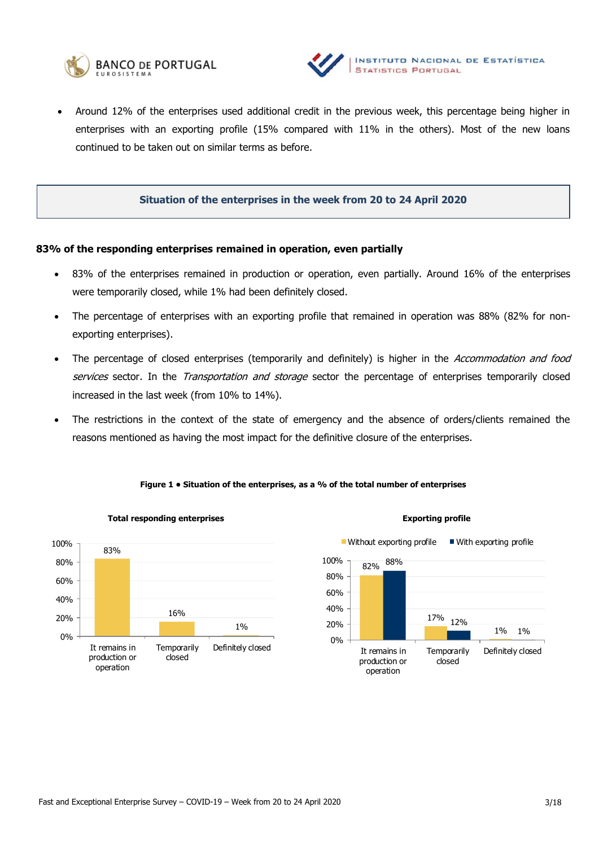



 Around 12% of the enterprises used additional credit in the previous week, this percentage being higher in enterprises with an exporting profile (15% compared with 11% in the others). Most of the new loans continued to be taken out on similar terms as before.

## **Situation of the enterprises in the week from 20 to 24 April 2020**

## **83% of the responding enterprises remained in operation, even partially**

- 83% of the enterprises remained in production or operation, even partially. Around 16% of the enterprises were temporarily closed, while 1% had been definitely closed.
- The percentage of enterprises with an exporting profile that remained in operation was 88% (82% for nonexporting enterprises).
- The percentage of closed enterprises (temporarily and definitely) is higher in the Accommodation and food services sector. In the Transportation and storage sector the percentage of enterprises temporarily closed increased in the last week (from 10% to 14%).
- The restrictions in the context of the state of emergency and the absence of orders/clients remained the reasons mentioned as having the most impact for the definitive closure of the enterprises.



#### **Figure 1 • Situation of the enterprises, as a % of the total number of enterprises**



## **Total responding enterprises Exporting profile**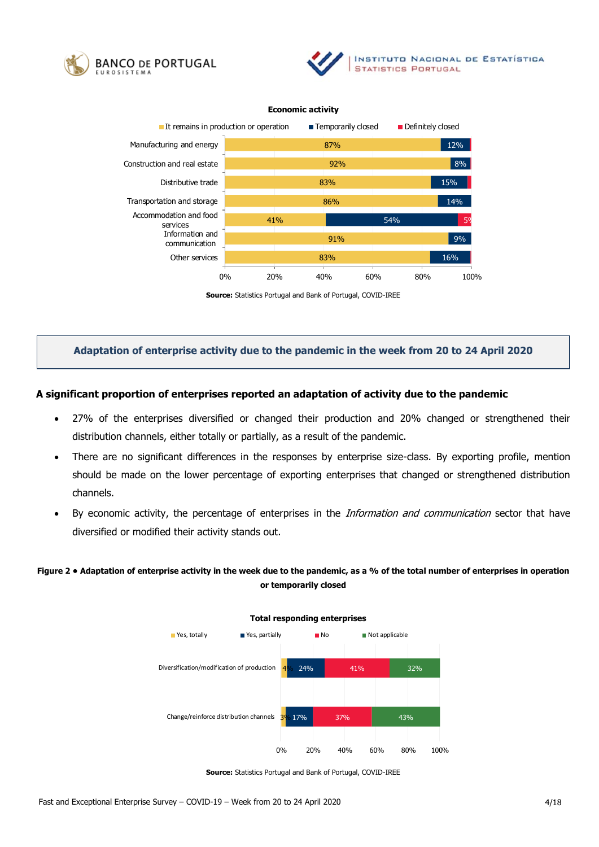





#### **Economic activity**

**Source:** Statistics Portugal and Bank of Portugal, COVID-IREE

## **Adaptation of enterprise activity due to the pandemic in the week from 20 to 24 April 2020**

## **A significant proportion of enterprises reported an adaptation of activity due to the pandemic**

- 27% of the enterprises diversified or changed their production and 20% changed or strengthened their distribution channels, either totally or partially, as a result of the pandemic.
- There are no significant differences in the responses by enterprise size-class. By exporting profile, mention should be made on the lower percentage of exporting enterprises that changed or strengthened distribution channels.
- By economic activity, the percentage of enterprises in the *Information and communication* sector that have diversified or modified their activity stands out.

**Figure 2 • Adaptation of enterprise activity in the week due to the pandemic, as a % of the total number of enterprises in operation or temporarily closed**



**Source:** Statistics Portugal and Bank of Portugal, COVID-IREE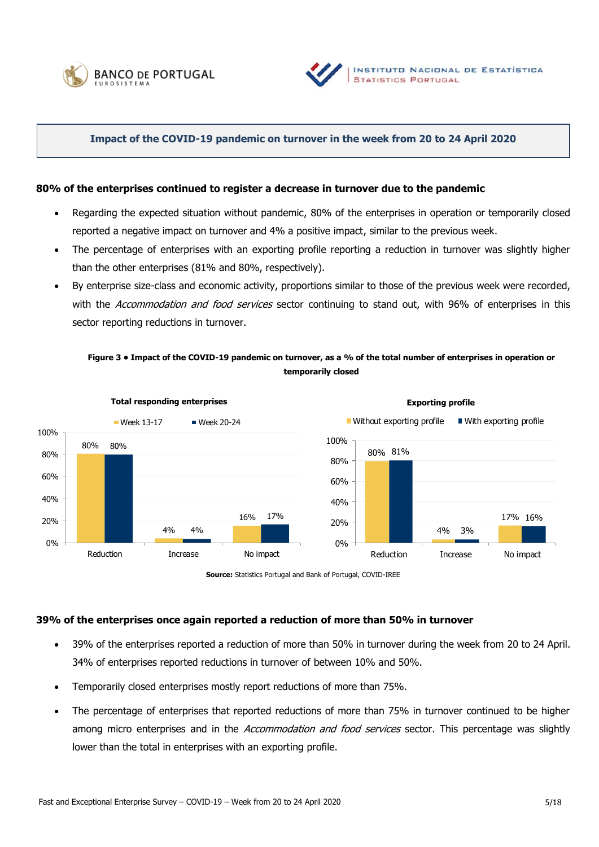



## **Impact of the COVID-19 pandemic on turnover in the week from 20 to 24 April 2020**

### **80% of the enterprises continued to register a decrease in turnover due to the pandemic**

- Regarding the expected situation without pandemic, 80% of the enterprises in operation or temporarily closed reported a negative impact on turnover and 4% a positive impact, similar to the previous week.
- The percentage of enterprises with an exporting profile reporting a reduction in turnover was slightly higher than the other enterprises (81% and 80%, respectively).
- By enterprise size-class and economic activity, proportions similar to those of the previous week were recorded, with the Accommodation and food services sector continuing to stand out, with 96% of enterprises in this sector reporting reductions in turnover.

## **Figure 3 • Impact of the COVID-19 pandemic on turnover, as a % of the total number of enterprises in operation or temporarily closed**



**Source:** Statistics Portugal and Bank of Portugal, COVID-IREE

### **39% of the enterprises once again reported a reduction of more than 50% in turnover**

- 39% of the enterprises reported a reduction of more than 50% in turnover during the week from 20 to 24 April. 34% of enterprises reported reductions in turnover of between 10% and 50%.
- Temporarily closed enterprises mostly report reductions of more than 75%.
- The percentage of enterprises that reported reductions of more than 75% in turnover continued to be higher among micro enterprises and in the Accommodation and food services sector. This percentage was slightly lower than the total in enterprises with an exporting profile.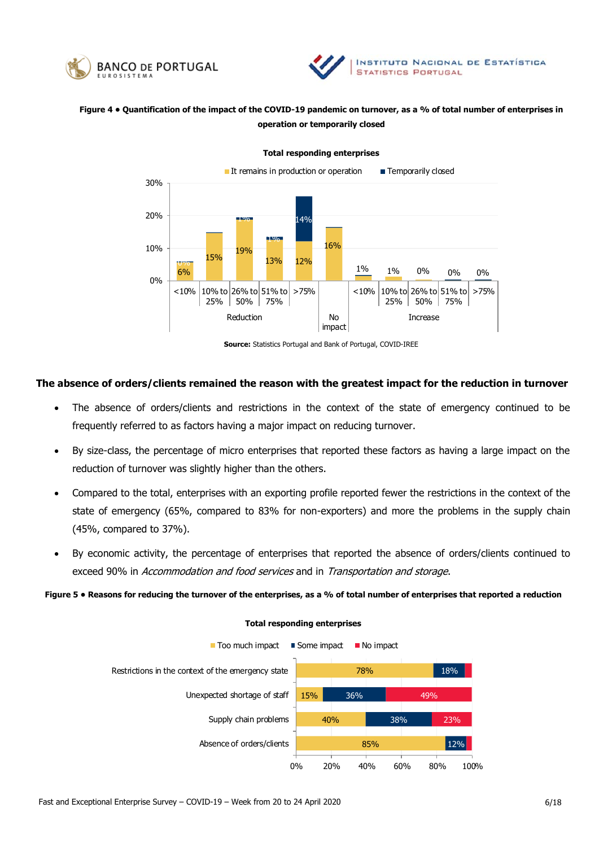



## **Figure 4 • Quantification of the impact of the COVID-19 pandemic on turnover, as a % of total number of enterprises in operation or temporarily closed**



**Total responding enterprises**

**Source:** Statistics Portugal and Bank of Portugal, COVID-IREE

## **The absence of orders/clients remained the reason with the greatest impact for the reduction in turnover**

- The absence of orders/clients and restrictions in the context of the state of emergency continued to be frequently referred to as factors having a major impact on reducing turnover.
- By size-class, the percentage of micro enterprises that reported these factors as having a large impact on the reduction of turnover was slightly higher than the others.
- Compared to the total, enterprises with an exporting profile reported fewer the restrictions in the context of the state of emergency (65%, compared to 83% for non-exporters) and more the problems in the supply chain (45%, compared to 37%).
- By economic activity, the percentage of enterprises that reported the absence of orders/clients continued to exceed 90% in Accommodation and food services and in Transportation and storage.

**Figure 5 • Reasons for reducing the turnover of the enterprises, as a % of total number of enterprises that reported a reduction** 



#### **Total responding enterprises**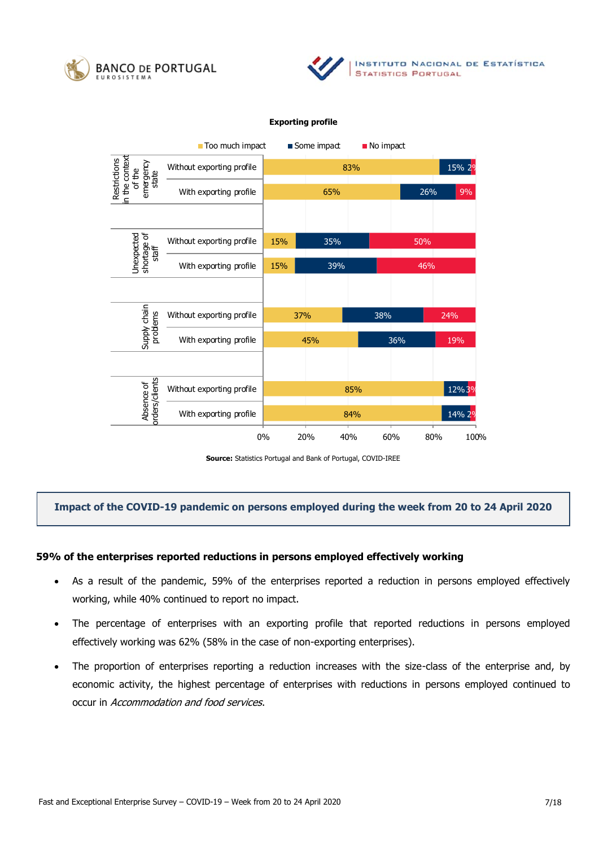



#### **Exporting profile**





## **Impact of the COVID-19 pandemic on persons employed during the week from 20 to 24 April 2020**

## **59% of the enterprises reported reductions in persons employed effectively working**

- As a result of the pandemic, 59% of the enterprises reported a reduction in persons employed effectively working, while 40% continued to report no impact.
- The percentage of enterprises with an exporting profile that reported reductions in persons employed effectively working was 62% (58% in the case of non-exporting enterprises).
- The proportion of enterprises reporting a reduction increases with the size-class of the enterprise and, by economic activity, the highest percentage of enterprises with reductions in persons employed continued to occur in Accommodation and food services.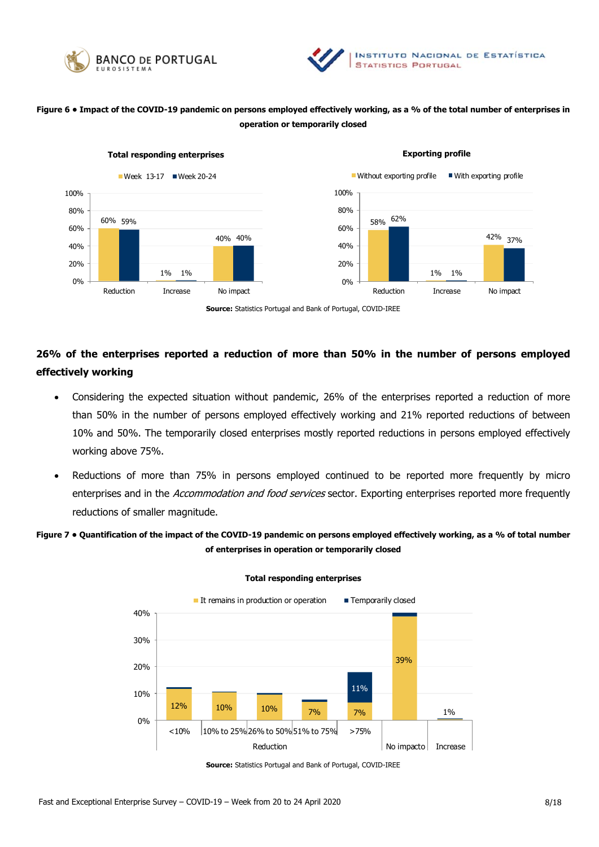



## **Figure 6 • Impact of the COVID-19 pandemic on persons employed effectively working, as a % of the total number of enterprises in operation or temporarily closed**



**Source:** Statistics Portugal and Bank of Portugal, COVID-IREE

## **26% of the enterprises reported a reduction of more than 50% in the number of persons employed effectively working**

- Considering the expected situation without pandemic, 26% of the enterprises reported a reduction of more than 50% in the number of persons employed effectively working and 21% reported reductions of between 10% and 50%. The temporarily closed enterprises mostly reported reductions in persons employed effectively working above 75%.
- Reductions of more than 75% in persons employed continued to be reported more frequently by micro enterprises and in the Accommodation and food services sector. Exporting enterprises reported more frequently reductions of smaller magnitude.

## **Figure 7 • Quantification of the impact of the COVID-19 pandemic on persons employed effectively working, as a % of total number of enterprises in operation or temporarily closed**



#### **Total responding enterprises**

**Source:** Statistics Portugal and Bank of Portugal, COVID-IREE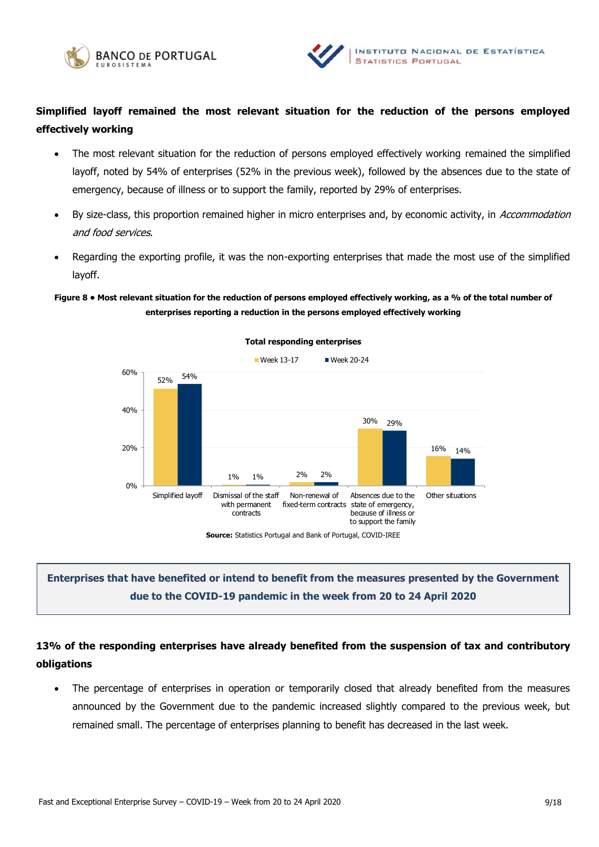



## **Simplified layoff remained the most relevant situation for the reduction of the persons employed effectively working**

- The most relevant situation for the reduction of persons employed effectively working remained the simplified layoff, noted by 54% of enterprises (52% in the previous week), followed by the absences due to the state of emergency, because of illness or to support the family, reported by 29% of enterprises.
- By size-class, this proportion remained higher in micro enterprises and, by economic activity, in Accommodation and food services.
- Regarding the exporting profile, it was the non-exporting enterprises that made the most use of the simplified layoff.

## **Figure 8 • Most relevant situation for the reduction of persons employed effectively working, as a % of the total number of enterprises reporting a reduction in the persons employed effectively working**



#### **Total responding enterprises**

**Source:** Statistics Portugal and Bank of Portugal, COVID-IREE

# **Enterprises that have benefited or intend to benefit from the measures presented by the Government due to the COVID-19 pandemic in the week from 20 to 24 April 2020**

## **13% of the responding enterprises have already benefited from the suspension of tax and contributory obligations**

 The percentage of enterprises in operation or temporarily closed that already benefited from the measures announced by the Government due to the pandemic increased slightly compared to the previous week, but remained small. The percentage of enterprises planning to benefit has decreased in the last week.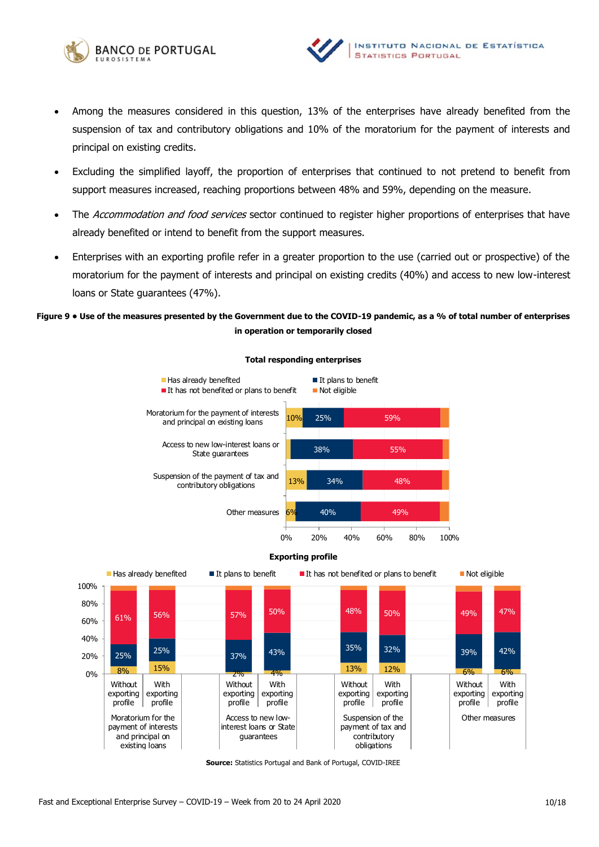



- Among the measures considered in this question, 13% of the enterprises have already benefited from the suspension of tax and contributory obligations and 10% of the moratorium for the payment of interests and principal on existing credits.
- Excluding the simplified layoff, the proportion of enterprises that continued to not pretend to benefit from support measures increased, reaching proportions between 48% and 59%, depending on the measure.
- The Accommodation and food services sector continued to register higher proportions of enterprises that have already benefited or intend to benefit from the support measures.
- Enterprises with an exporting profile refer in a greater proportion to the use (carried out or prospective) of the moratorium for the payment of interests and principal on existing credits (40%) and access to new low-interest loans or State guarantees (47%).

## **Figure 9 • Use of the measures presented by the Government due to the COVID-19 pandemic, as a % of total number of enterprises in operation or temporarily closed**



#### **Total responding enterprises**



**Source:** Statistics Portugal and Bank of Portugal, COVID-IREE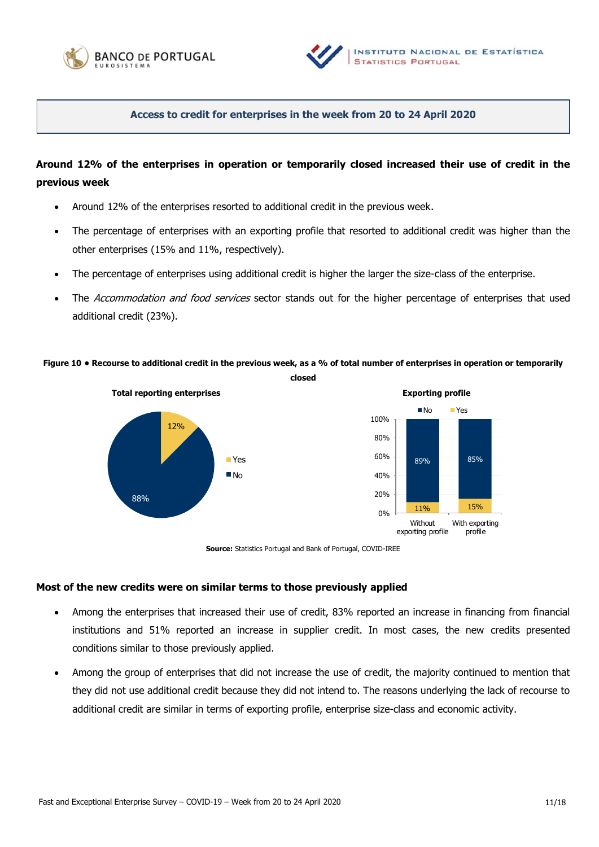



## **Access to credit for enterprises in the week from 20 to 24 April 2020**

## **Around 12% of the enterprises in operation or temporarily closed increased their use of credit in the previous week**

- Around 12% of the enterprises resorted to additional credit in the previous week.
- The percentage of enterprises with an exporting profile that resorted to additional credit was higher than the other enterprises (15% and 11%, respectively).
- The percentage of enterprises using additional credit is higher the larger the size-class of the enterprise.
- The Accommodation and food services sector stands out for the higher percentage of enterprises that used additional credit (23%).

## **Figure 10 • Recourse to additional credit in the previous week, as a % of total number of enterprises in operation or temporarily**



**Source:** Statistics Portugal and Bank of Portugal, COVID-IREE

## **Most of the new credits were on similar terms to those previously applied**

- Among the enterprises that increased their use of credit, 83% reported an increase in financing from financial institutions and 51% reported an increase in supplier credit. In most cases, the new credits presented conditions similar to those previously applied.
- Among the group of enterprises that did not increase the use of credit, the majority continued to mention that they did not use additional credit because they did not intend to. The reasons underlying the lack of recourse to additional credit are similar in terms of exporting profile, enterprise size-class and economic activity.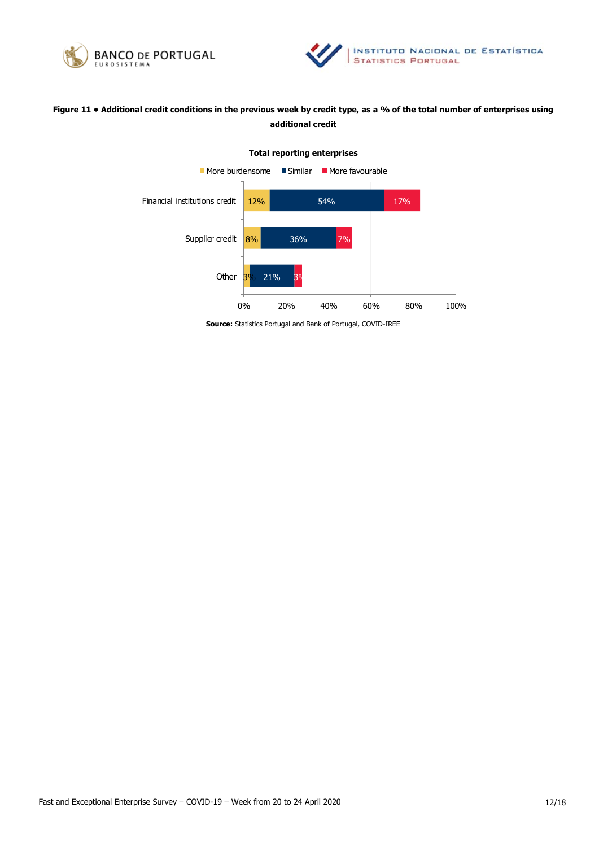



## **Figure 11 • Additional credit conditions in the previous week by credit type, as a % of the total number of enterprises using additional credit**



#### **Total reporting enterprises**

**Source:** Statistics Portugal and Bank of Portugal, COVID-IREE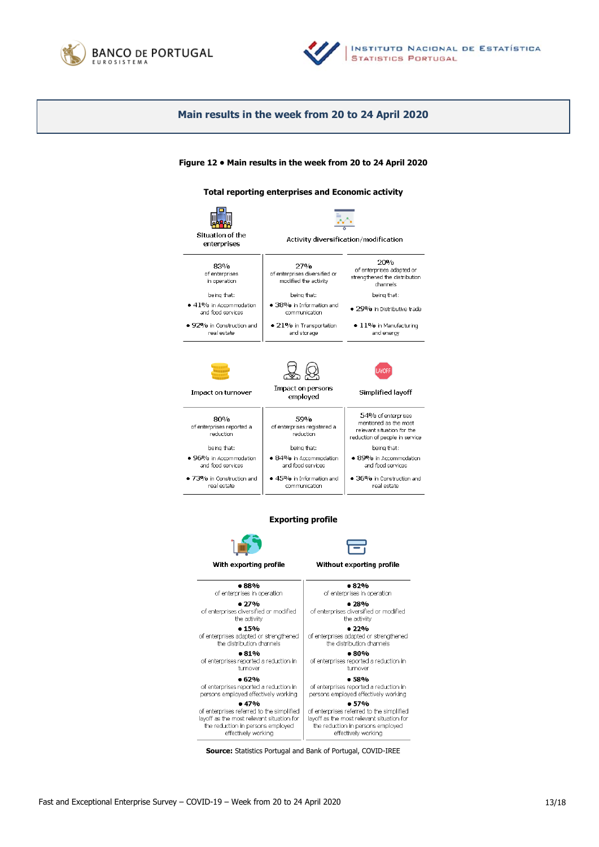



### **Main results in the week from 20 to 24 April 2020**

#### **Figure 12 • Main results in the week from 20 to 24 April 2020**

**Total reporting enterprises and Economic activity**



· 89% in Accommodation and food services  $\bullet$  45% in Information and · 36% in Construction and

real estate

#### **Exporting profile**

and food services

communication

and food services

· 73% in Construction and

real estate



**Source:** Statistics Portugal and Bank of Portugal, COVID-IREE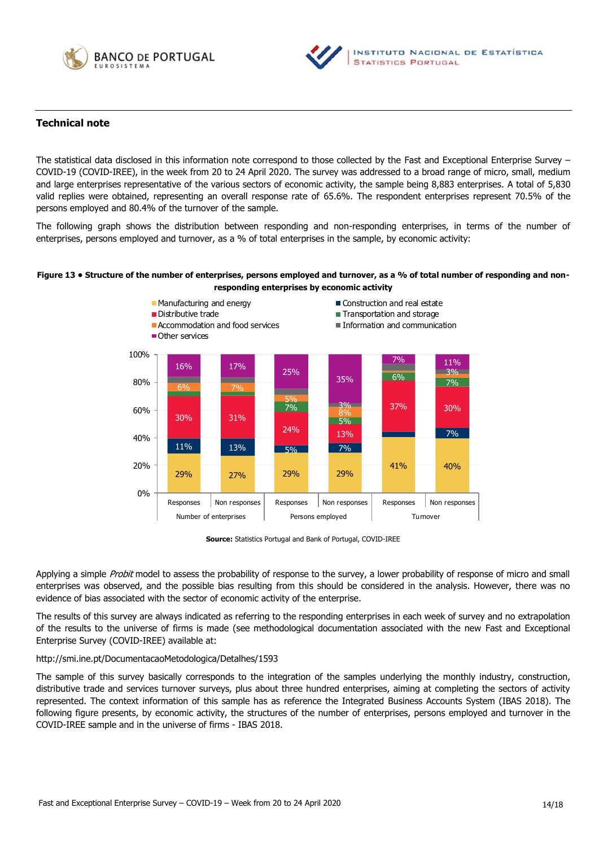



## **Technical note**

The statistical data disclosed in this information note correspond to those collected by the Fast and Exceptional Enterprise Survey – COVID-19 (COVID-IREE), in the week from 20 to 24 April 2020. The survey was addressed to a broad range of micro, small, medium and large enterprises representative of the various sectors of economic activity, the sample being 8,883 enterprises. A total of 5,830 valid replies were obtained, representing an overall response rate of 65.6%. The respondent enterprises represent 70.5% of the persons employed and 80.4% of the turnover of the sample.

The following graph shows the distribution between responding and non-responding enterprises, in terms of the number of enterprises, persons employed and turnover, as a % of total enterprises in the sample, by economic activity:

#### **Figure 13 • Structure of the number of enterprises, persons employed and turnover, as a % of total number of responding and nonresponding enterprises by economic activity**



**Source:** Statistics Portugal and Bank of Portugal, COVID-IREE

Applying a simple Probit model to assess the probability of response to the survey, a lower probability of response of micro and small enterprises was observed, and the possible bias resulting from this should be considered in the analysis. However, there was no evidence of bias associated with the sector of economic activity of the enterprise.

The results of this survey are always indicated as referring to the responding enterprises in each week of survey and no extrapolation of the results to the universe of firms is made (see methodological documentation associated with the new Fast and Exceptional Enterprise Survey (COVID-IREE) available at:

#### <http://smi.ine.pt/DocumentacaoMetodologica/Detalhes/1593>

The sample of this survey basically corresponds to the integration of the samples underlying the monthly industry, construction, distributive trade and services turnover surveys, plus about three hundred enterprises, aiming at completing the sectors of activity represented. The context information of this sample has as reference the Integrated Business Accounts System (IBAS 2018). The following figure presents, by economic activity, the structures of the number of enterprises, persons employed and turnover in the COVID-IREE sample and in the universe of firms - IBAS 2018.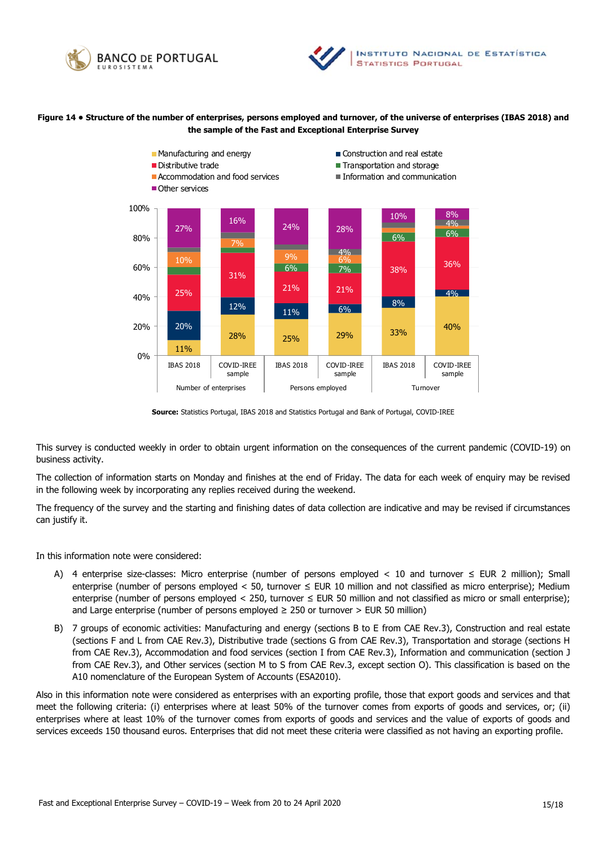



#### **Figure 14 • Structure of the number of enterprises, persons employed and turnover, of the universe of enterprises (IBAS 2018) and the sample of the Fast and Exceptional Enterprise Survey**



**Source:** Statistics Portugal, IBAS 2018 and Statistics Portugal and Bank of Portugal, COVID-IREE

This survey is conducted weekly in order to obtain urgent information on the consequences of the current pandemic (COVID-19) on business activity.

The collection of information starts on Monday and finishes at the end of Friday. The data for each week of enquiry may be revised in the following week by incorporating any replies received during the weekend.

The frequency of the survey and the starting and finishing dates of data collection are indicative and may be revised if circumstances can justify it.

In this information note were considered:

- A) 4 enterprise size-classes: Micro enterprise (number of persons employed < 10 and turnover ≤ EUR 2 million); Small enterprise (number of persons employed < 50, turnover ≤ EUR 10 million and not classified as micro enterprise); Medium enterprise (number of persons employed < 250, turnover ≤ EUR 50 million and not classified as micro or small enterprise); and Large enterprise (number of persons employed  $\geq$  250 or turnover > EUR 50 million)
- B) 7 groups of economic activities: Manufacturing and energy (sections B to E from CAE Rev.3), Construction and real estate (sections F and L from CAE Rev.3), Distributive trade (sections G from CAE Rev.3), Transportation and storage (sections H from CAE Rev.3), Accommodation and food services (section I from CAE Rev.3), Information and communication (section J from CAE Rev.3), and Other services (section M to S from CAE Rev.3, except section O). This classification is based on the A10 nomenclature of the European System of Accounts (ESA2010).

Also in this information note were considered as enterprises with an exporting profile, those that export goods and services and that meet the following criteria: (i) enterprises where at least 50% of the turnover comes from exports of goods and services, or; (ii) enterprises where at least 10% of the turnover comes from exports of goods and services and the value of exports of goods and services exceeds 150 thousand euros. Enterprises that did not meet these criteria were classified as not having an exporting profile.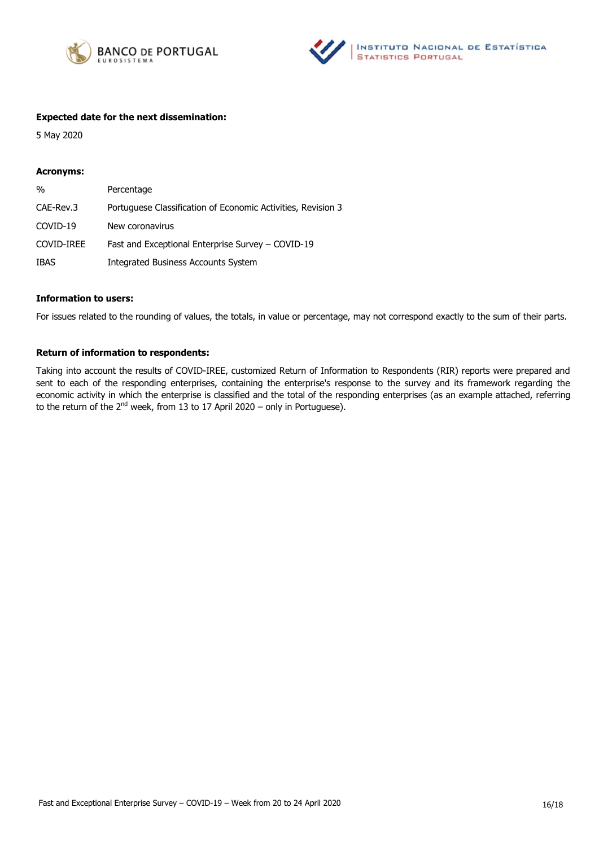



#### **Expected date for the next dissemination:**

5 May 2020

#### **Acronyms:**

| $\%$        | Percentage                                                   |
|-------------|--------------------------------------------------------------|
| CAE-Rev.3   | Portuguese Classification of Economic Activities, Revision 3 |
| COVID-19    | New coronavirus                                              |
| COVID-IREE  | Fast and Exceptional Enterprise Survey – COVID-19            |
| <b>IBAS</b> | Integrated Business Accounts System                          |

#### **Information to users:**

For issues related to the rounding of values, the totals, in value or percentage, may not correspond exactly to the sum of their parts.

#### **Return of information to respondents:**

Taking into account the results of COVID-IREE, customized Return of Information to Respondents (RIR) reports were prepared and sent to each of the responding enterprises, containing the enterprise's response to the survey and its framework regarding the economic activity in which the enterprise is classified and the total of the responding enterprises (as an example attached, referring to the return of the  $2^{nd}$  week, from 13 to 17 April 2020 – only in Portuguese).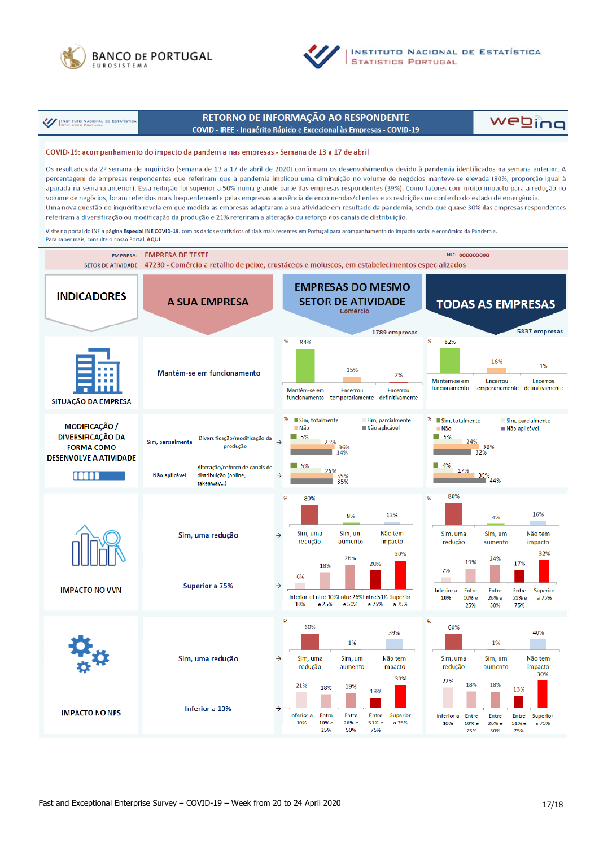



```
WESTITUTE NACIONAL DE ESTATÍS
```
## RETORNO DE INFORMAÇÃO AO RESPONDENTE COVID - IREE - Inquérito Rápido e Excecional às Empresas - COVID-19

# webing

#### COVID-19: acompanhamento do impacto da pandemia nas empresas - Semana de 13 a 17 de abril

Os resultados da 2ª semana de inquirição (semana de 13 a 17 de abril de 2020) confirmam os desenvolvimentos devido à pandemia identificados na semana anterior. A percentagem de empresas respondentes que referiram que a pandemia implicou uma diminuição no volume de negócios manteve-se elevada (80%, proporção igual à apurada na semana anterior). Essa redução foi superior a 50% numa grande parte das empresas respondentes (39%). Como fatores com muito impacto para a redução no volume de negócios, foram referidos mais frequentemente pelas empresas a ausência de encomendas/clientes e as restrições no contexto do estado de emergência. Uma nova questão do inquérito revela em que medida as empresas adaptaram a sua atividade em resultado da pandemia, sendo que quase 30% das empresas respondentes referiram a diversificação ou modificação da produção e 21% referiram a alteração ou reforço dos canais de distribuição.

Visite no portal do INE a página Especial INE COVID-19, com os dados estatísticos oficiais mais recentes em Portugal para acompanhamento do impacto social e económico da Pandemia.

Para saber mais, consulte o nosso Portal, AQUI